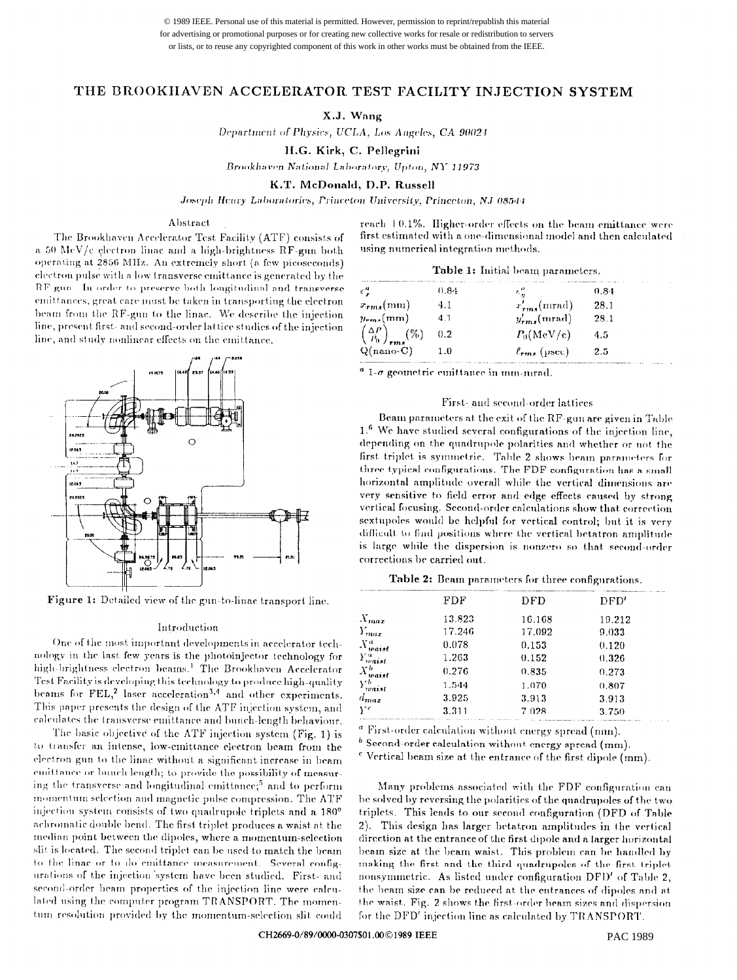© 1989 IEEE. Personal use of this material is permitted. However, permission to reprint/republish this material for advertising or promotional purposes or for creating new collective works for resale or redistribution to servers or lists, or to reuse any copyrighted component of this work in other works must be obtained from the IEEE.

# THE BROOKHAVEN ACCELERATOR TEST FACILITY INJECTION SYSTEM

# X.J. Wang

Department of Physics, UCLA, Los Angeles, CA 90024

H.G. Kirk, C. Pellegrini

Brookhaven National Laboratory, Upton, NY 11973

K.T. McDonald, D.P. Russell

Joseph Heury Laboratories, Princeton University, Princeton, NJ 08544

### Abstract

The Brookhaven Accelerator Test Facility (ATF) consists of a 50 MeV/c electron linac and a high-brightness RF-gun both operating at 2856 MHz. An extremely short (a few picoseconds) electron pulse with a low transverse emittance is generated by the RF gun. In order to preserve both longitudinal and transverse emittances, great care must be taken in transporting the electron beam from the RF-gun to the linac. We describe the injection line, present first- and second-order lattice studies of the injection line, and study nonlinear effects on the emittance.



Figure 1: Detailed view of the gun-to-linae transport line.

#### Introduction

One of the most important developments in accelerator technology in the last few years is the photoinjector technology for high-brightness electron beams.<sup>1</sup> The Brookhaven Accelerator Test Facility is developing this technology to produce high-quality beams for FEL,<sup>2</sup> laser acceleration<sup>3,4</sup> and other experiments. This paper presents the design of the ATF injection system, and calculates the transverse emittance and bunch-length behaviour.

The basic objective of the ATF injection system (Fig. 1) is to transfer an intense, low-emittance electron beam from the electron gun to the linac without a significant increase in beam emittance or bunch length; to provide the possibility of measuring the transverse and longitudinal emittance;<sup>5</sup> and to perform momentum selection and magnetic pulse compression. The ATF injection system consists of two quadrupole triplets and a 180° achromatic double bend. The first triplet produces a waist at the median point between the dipoles, where a momentum-selection slit is located. The second triplet can be used to match the beam to the linac or to do emittance measurement. Several configurations of the injection system have been studied. First- and second-order beam properties of the injection line were calculated using the computer program TRANSPORT. The momentum resolution provided by the momentum-selection slit could

reach +0.1%. Higher-order effects on the beam emittance were first estimated with a one-dimensional model and then calculated using numerical integration methods.

Table 1: Initial beam parameters.

| $\epsilon$ <sup>"</sup>                       | 0.84 | $\varepsilon_{n}^{u}$ | $\sim$<br>0.84 |
|-----------------------------------------------|------|-----------------------|----------------|
| $x_{rms}(mm)$                                 |      | $x'_{rms}$ (mrad)     | 28.1           |
| $y_{rm}$ (mm)                                 |      | $y'_{rms}$ (mrad)     | 28.1           |
| $\left(\frac{\Delta P}{P_0}\right)_{rms}$ (%) | 0.2  | $P_0(MeV/c)$          | 4.5            |
| $Q(nano-C)$                                   | 1.0  | $\ell_{rms}$ (psec)   | 2.5            |

 $a$  1- $\sigma$  geometric emittance in mm-mrad.

### First- and second-order lattices

Beam parameters at the exit of the RF-gun are given in Table 1.6 We have studied several configurations of the injection line, depending on the quadrupole polarities and whether or not the first triplet is symmetric. Table 2 shows beam parameters for three typical configurations. The FDF configuration has a small horizontal amplitude overall while the vertical dimensions are very sensitive to field error and edge effects caused by strong vertical focusing. Second-order calculations show that correction sextupoles would be helpful for vertical control; but it is very difficult to find positions where the vertical betatron amplitude is large while the dispersion is nonzero so that second-order corrections be carried out.

Table 2: Beam parameters for three configurations.

|                                   | FDF    | DFD    | DFD'   |
|-----------------------------------|--------|--------|--------|
| $X_{max}$                         | 13.823 | 16.168 | 19.212 |
| $Y_{max}$                         | 17.246 | 17.092 | 9.033  |
| $X^a_{waist}$                     | 0.078  | 0.153  | 0.120  |
| $Y_{wait}^a$                      | 1.263  | 0.152  | 0.326  |
| $\frac{X_{waist}^b}{Y_{waist}^b}$ | 0.276  | 0.835  | 0.273  |
|                                   | 1.544  | 1.070  | 0.807  |
| $d_{max}$                         | 3.925  | 3.913  | 3.913  |
| $Y^c$                             | 3.311  | 7.028  | 3.750  |
|                                   |        |        |        |

<sup>a</sup> First-order calculation without energy spread (nnn).

 $^b$  Second-order calculation without energy spread (mm).

<sup>c</sup> Vertical beam size at the entrance of the first dipole (mm).

Many problems associated with the FDF configuration can be solved by reversing the polarities of the quadrupoles of the two triplets. This leads to our second configuration (DFD of Table 2). This design has larger betatron amplitudes in the vertical direction at the entrance of the first dipole and a larger horizontal beam size at the beam waist. This problem can be handled by making the first and the third quadrupoles of the first triplet nonsymmetric. As listed under configuration DFD' of Table 2, the beam size can be reduced at the entrances of dipoles and at the waist. Fig. 2 shows the first-order beam sizes and dispersion for the DFD' injection line as calculated by TRANSPORT.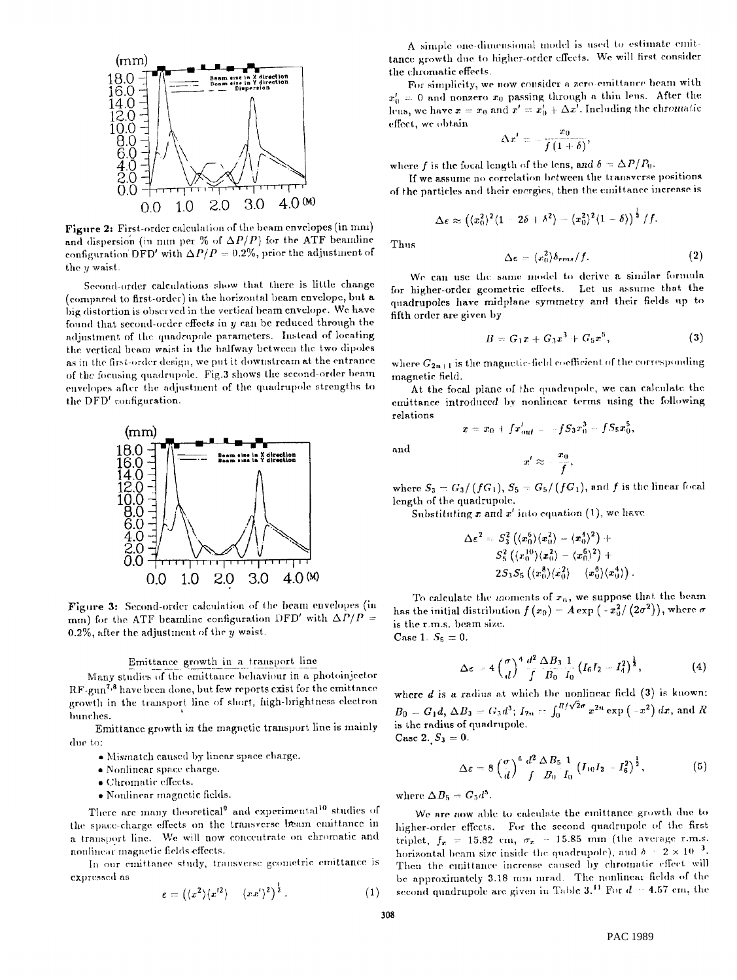

**Figure 2:** First-order calculation of the beam envelopes (in mm) and dispersion (in mm per % of  $\Delta P/P$ ) for the ATF beamline configuration DFD' with  $\Delta P/P = 0.2\%$ , prior the adjustment of the  $y$  waist

Second-order calculations show that there is little change (compared to first-order) in the horizontal beam envelope, but a big distortion is observed in the vertical beam envelope. We have found that second-order effects in  $y$  can be reduced through the adjustment of the quadrupole parameters. Instead of locating the vertical beam waist in the halfway between the two dipoles as in the first-order design, we put it downstream at the entrance of the focusing quadrupole. Fig.3 shows the second-order beam envelopes after the adjustment of the quadrupole strengths to the DFD' configuration.



Figure 3: Second-order calculation of the beam envelopes (in mm) for the ATF beamline configuration DFD' with  $\Delta P/P =$  $0.2\%$ , after the adjustment of the  $y$  waist.

# Emittance growth in a transport line

Many studies of the emittance behaviour in a photoinjector RF-gun<sup>7,8</sup> have been done, but few reports exist for the emittance growth in the transport line of short, high-brightness electron bunches.

Emittance growth in the magnetic transport line is mainly due to:

- . Mismatch caused by linear space charge.
- . Nonlinear space charge.
- · Chromatic effects.
- · Nonlinear magnetic fields.

There are many theoretical<sup>9</sup> and experimental<sup>10</sup> studies of the space-charge effects on the transverse beam emittance in a transport line. We will now concentrate on chromatic and noulinear magnetic fields effects.

In our emittance study, transverse geometric emittance is expressed as

$$
\varepsilon = \left( \langle x^2 \rangle \langle x^{\prime 2} \rangle - \langle x x^{\prime} \rangle^2 \right)^{\frac{1}{2}}.
$$
 (1)

A simple one-dimensional model is used to estimate emittance growth due to higher-order effects. We will first consider the chromatic effects.

For simplicity, we now consider a zero-emittance beam with  $x_0' = 0$  and nonzero  $x_0$  passing through a thin lens. After the lens, we have  $x = x_0$  and  $x' = x'_0 + \Delta x'$ . Including the chromatic effect, we obtain

$$
\Delta x' = -\frac{x_0}{f\left(1+\delta\right)},
$$

where f is the focal length of the lens, and  $\delta = \Delta P/P_0$ .

If we assume no correlation between the transverse positions of the particles and their energies, then the emittance increase is

$$
\Delta \epsilon \approx \left(\langle x_0^2 \rangle^2 \langle 1 - 2\delta + \delta^2 \rangle - \langle x_0^2 \rangle^2 \langle 1 - \delta \rangle \right)^{\frac{1}{2}} /f.
$$

Thus

$$
\Delta \epsilon = \langle x_0^2 \rangle \delta_{rms} / f. \tag{2}
$$

We can use the same model to derive a similar formula for higher-order geometric effects. Let us assume that the quadrupoles have midplane symmetry and their fields up to fifth order are given by

$$
B = G_1 x + G_3 x^3 + G_5 x^5, \tag{3}
$$

where  $G_{2n+1}$  is the magnetic-field coefficient of the corresponding magnetic field.

At the focal plane of the quadrupole, we can calculate the emittance introduced by nonlinear terms using the following relations

and

 $x = x_0 + f x'_{out} = -f S_3 x_0^3 - f S_5 x_0^5$  $x' \approx -\frac{x_0}{f},$ 

where  $S_3 = G_3/(fG_1), S_5 = G_5/(fG_1),$  and f is the linear focal length of the quadrupole.

Substituting x and x' into equation (1), we have

$$
\begin{aligned} \Delta\varepsilon^2 &= S_3^2\left(\langle x_0^6\rangle\langle x_0^2\rangle - \langle x_0^4\rangle^2\right) +\\ &S_5^2\left(\langle x_0^{10}\rangle\langle x_0^2\rangle - \langle x_0^6\rangle^2\right) +\\ &2S_3S_5\left(\langle x_0^8\rangle\langle x_0^2\rangle - \langle x_0^6\rangle\langle x_0^4\rangle\right). \end{aligned}
$$

To calculate the moments of  $r_n$ , we suppose that the beam has the initial distribution  $f(x_0) = A \exp(-x_0^2/(2\sigma^2))$ , where  $\sigma$ is the r.m.s. beam size. Case 1.  $S_5 = 0$ .

$$
\Delta \epsilon = 4 \left( \frac{\sigma}{d} \right)^4 \frac{d^2}{f} \frac{\Delta B_3}{B_0} \frac{1}{I_0} \left( I_6 I_2 - I_4^2 \right)^{\frac{1}{2}}, \tag{4}
$$

where  $d$  is a radius at which the uonlinear field  $(3)$  is known:  $B_0 = G_1 d$ ,  $\Delta B_3 = G_3 d^3$ ;  $I_{2n} = \int_0^{R/\sqrt{2}\sigma} x^{2n} \exp(-x^2) dx$ , and R is the radius of quadrupole. Case 2.  $S_3 = 0$ .

$$
\Delta \varepsilon = 8 \left( \frac{\sigma}{d} \right)^6 \frac{d^2}{f} \frac{\Delta B_5}{B_0} \frac{1}{I_0} \left( I_{10} I_2 - I_6^2 \right)^{\frac{1}{2}}, \tag{5}
$$

where  $\Delta B_5 = G_5 d^5$ .

We are now able to calculate the emittance growth due to higher-order effects. For the second quadrupole of the first triplet,  $f_z = 15.82$  cm,  $\sigma_z = 15.85$  mm (the average r.m.s. horizontal beam size inside the quadrupole), and  $\delta = 2 \times 10^{-3}$ . Then the emittance increase caused by chromatic effect will be approximately 3.18 mm-mrad. The nonlinear fields of the second quadrupole are given in Table 3.<sup>11</sup> For  $d = 4.57$  cm, the